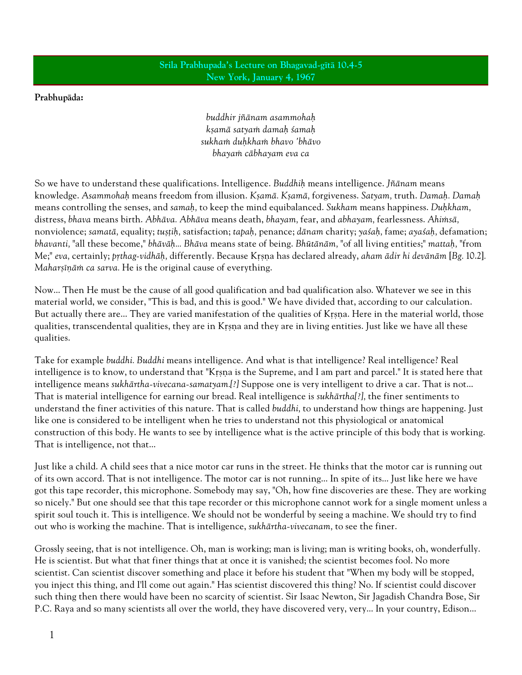## Srila Prabhupada's Lecture on Bhagavad-gītā 10.4-5 New York, January 4, 1967

## Prabhupäda:

buddhir jïänam asammohaù ksamā satyam damah samah sukham duhkham bhavo 'bhāvo bhayaṁ cābhayam eva ca

So we have to understand these qualifications. Intelligence. Buddhih means intelligence. Jñānam means knowledge. Asammohaḥ means freedom from illusion. Kṣamā. Kṣamā, forgiveness. Satyam, truth. Damaḥ. Damaḥ means controlling the senses, and samah, to keep the mind equibalanced. Sukham means happiness. Duhkham, distress, bhava means birth. Abhāva. Abhāva means death, bhayam, fear, and abhayam, fearlessness. Ahimsā, nonviolence; samatā, equality; tuștih, satisfaction; tapah, penance; dānam charity; yasaḥ, fame; ayasaḥ, defamation; bhavanti, "all these become," bhāvāḥ... Bhāva means state of being. Bhūtānām, "of all living entities;" mattaḥ, "from Me;" eva, certainly; prthag-vidhāh, differently. Because Krsna has declared already, aham ādir hi devānām [Bg. 10.2]. Maharsīnām ca sarva. He is the original cause of everything.

Now... Then He must be the cause of all good qualification and bad qualification also. Whatever we see in this material world, we consider, "This is bad, and this is good." We have divided that, according to our calculation. But actually there are... They are varied manifestation of the qualities of Krsna. Here in the material world, those qualities, transcendental qualities, they are in Krsna and they are in living entities. Just like we have all these qualities.

Take for example buddhi. Buddhi means intelligence. And what is that intelligence? Real intelligence? Real intelligence is to know, to understand that "Krsna is the Supreme, and I am part and parcel." It is stated here that intelligence means sukhärtha-vivecana-samatyam.[?] Suppose one is very intelligent to drive a car. That is not... That is material intelligence for earning our bread. Real intelligence is sukhärtha[?], the finer sentiments to understand the finer activities of this nature. That is called buddhi, to understand how things are happening. Just like one is considered to be intelligent when he tries to understand not this physiological or anatomical construction of this body. He wants to see by intelligence what is the active principle of this body that is working. That is intelligence, not that...

Just like a child. A child sees that a nice motor car runs in the street. He thinks that the motor car is running out of its own accord. That is not intelligence. The motor car is not running... In spite of its... Just like here we have got this tape recorder, this microphone. Somebody may say, "Oh, how fine discoveries are these. They are working so nicely." But one should see that this tape recorder or this microphone cannot work for a single moment unless a spirit soul touch it. This is intelligence. We should not be wonderful by seeing a machine. We should try to find out who is working the machine. That is intelligence, sukhärtha-vivecanam, to see the finer.

Grossly seeing, that is not intelligence. Oh, man is working; man is living; man is writing books, oh, wonderfully. He is scientist. But what that finer things that at once it is vanished; the scientist becomes fool. No more scientist. Can scientist discover something and place it before his student that "When my body will be stopped, you inject this thing, and I'll come out again." Has scientist discovered this thing? No. If scientist could discover such thing then there would have been no scarcity of scientist. Sir Isaac Newton, Sir Jagadish Chandra Bose, Sir P.C. Raya and so many scientists all over the world, they have discovered very, very... In your country, Edison...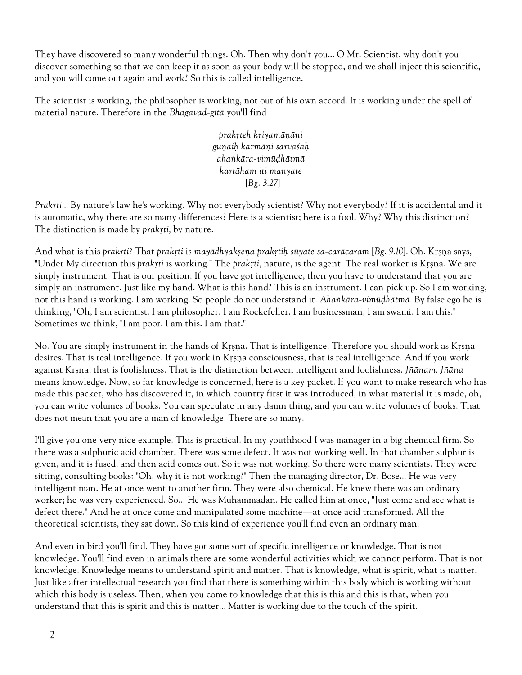They have discovered so many wonderful things. Oh. Then why don't you... O Mr. Scientist, why don't you discover something so that we can keep it as soon as your body will be stopped, and we shall inject this scientific, and you will come out again and work? So this is called intelligence.

The scientist is working, the philosopher is working, not out of his own accord. It is working under the spell of material nature. Therefore in the Bhagavad-gītā you'll find

> prakrteh kriyamānāni gunaih karmāni sarvasah ahankāra-vimūdhātmā kartäham iti manyate [Bg. 3.27]

Prakti... By nature's law he's working. Why not everybody scientist? Why not everybody? If it is accidental and it is automatic, why there are so many differences? Here is a scientist; here is a fool. Why? Why this distinction? The distinction is made by *prakrti*, by nature.

And what is this prakŗti? That prakŗti is mayādhyakṣeṇa prakṛtiḥ sūyate sa-carācaram [Bg. 9.10]. Oh. Kṛṣṇa says, "Under My direction this prakțti is working." The prakțti, nature, is the agent. The real worker is Krsna. We are simply instrument. That is our position. If you have got intelligence, then you have to understand that you are simply an instrument. Just like my hand. What is this hand? This is an instrument. I can pick up. So I am working, not this hand is working. I am working. So people do not understand it. Ahankāra-vimūḍhātmā. By false ego he is thinking, "Oh, I am scientist. I am philosopher. I am Rockefeller. I am businessman, I am swami. I am this." Sometimes we think, "I am poor. I am this. I am that."

No. You are simply instrument in the hands of Krsna. That is intelligence. Therefore you should work as Krsna desires. That is real intelligence. If you work in Krsna consciousness, that is real intelligence. And if you work against Krsna, that is foolishness. That is the distinction between intelligent and foolishness. Jñānam. Jñāna means knowledge. Now, so far knowledge is concerned, here is a key packet. If you want to make research who has made this packet, who has discovered it, in which country first it was introduced, in what material it is made, oh, you can write volumes of books. You can speculate in any damn thing, and you can write volumes of books. That does not mean that you are a man of knowledge. There are so many.

I'll give you one very nice example. This is practical. In my youthhood I was manager in a big chemical firm. So there was a sulphuric acid chamber. There was some defect. It was not working well. In that chamber sulphur is given, and it is fused, and then acid comes out. So it was not working. So there were many scientists. They were sitting, consulting books: "Oh, why it is not working?" Then the managing director, Dr. Bose... He was very intelligent man. He at once went to another firm. They were also chemical. He knew there was an ordinary worker; he was very experienced. So... He was Muhammadan. He called him at once, "Just come and see what is defect there." And he at once came and manipulated some machine—at once acid transformed. All the theoretical scientists, they sat down. So this kind of experience you'll find even an ordinary man.

And even in bird you'll find. They have got some sort of specific intelligence or knowledge. That is not knowledge. You'll find even in animals there are some wonderful activities which we cannot perform. That is not knowledge. Knowledge means to understand spirit and matter. That is knowledge, what is spirit, what is matter. Just like after intellectual research you find that there is something within this body which is working without which this body is useless. Then, when you come to knowledge that this is this and this is that, when you understand that this is spirit and this is matter... Matter is working due to the touch of the spirit.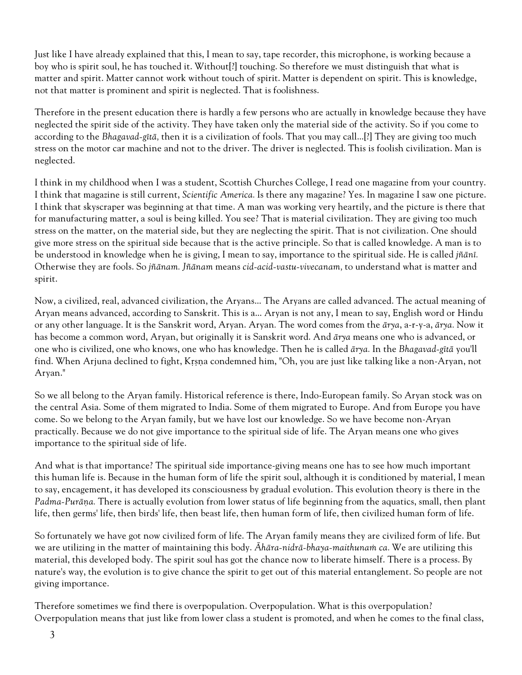Just like I have already explained that this, I mean to say, tape recorder, this microphone, is working because a boy who is spirit soul, he has touched it. Without[?] touching. So therefore we must distinguish that what is matter and spirit. Matter cannot work without touch of spirit. Matter is dependent on spirit. This is knowledge, not that matter is prominent and spirit is neglected. That is foolishness.

Therefore in the present education there is hardly a few persons who are actually in knowledge because they have neglected the spirit side of the activity. They have taken only the material side of the activity. So if you come to according to the Bhagavad-gītā, then it is a civilization of fools. That you may call...[?] They are giving too much stress on the motor car machine and not to the driver. The driver is neglected. This is foolish civilization. Man is neglected.

I think in my childhood when I was a student, Scottish Churches College, I read one magazine from your country. I think that magazine is still current, Scientific America. Is there any magazine? Yes. In magazine I saw one picture. I think that skyscraper was beginning at that time. A man was working very heartily, and the picture is there that for manufacturing matter, a soul is being killed. You see? That is material civilization. They are giving too much stress on the matter, on the material side, but they are neglecting the spirit. That is not civilization. One should give more stress on the spiritual side because that is the active principle. So that is called knowledge. A man is to be understood in knowledge when he is giving, I mean to say, importance to the spiritual side. He is called jñānī. Otherwise they are fools. So jïänam. Jïänam means cid-acid-vastu-vivecanam, to understand what is matter and spirit.

Now, a civilized, real, advanced civilization, the Aryans... The Aryans are called advanced. The actual meaning of Aryan means advanced, according to Sanskrit. This is a... Aryan is not any, I mean to say, English word or Hindu or any other language. It is the Sanskrit word, Aryan. Aryan. The word comes from the ärya, a-r-y-a, ärya. Now it has become a common word, Aryan, but originally it is Sanskrit word. And ärya means one who is advanced, or one who is civilized, one who knows, one who has knowledge. Then he is called ärya. In the Bhagavad-gétä you'll find. When Arjuna declined to fight, Krşna condemned him, "Oh, you are just like talking like a non-Aryan, not Aryan."

So we all belong to the Aryan family. Historical reference is there, Indo-European family. So Aryan stock was on the central Asia. Some of them migrated to India. Some of them migrated to Europe. And from Europe you have come. So we belong to the Aryan family, but we have lost our knowledge. So we have become non-Aryan practically. Because we do not give importance to the spiritual side of life. The Aryan means one who gives importance to the spiritual side of life.

And what is that importance? The spiritual side importance-giving means one has to see how much important this human life is. Because in the human form of life the spirit soul, although it is conditioned by material, I mean to say, encagement, it has developed its consciousness by gradual evolution. This evolution theory is there in the Padma-Purāna. There is actually evolution from lower status of life beginning from the aquatics, small, then plant life, then germs' life, then birds' life, then beast life, then human form of life, then civilized human form of life.

So fortunately we have got now civilized form of life. The Aryan family means they are civilized form of life. But we are utilizing in the matter of maintaining this body. Ahāra-nidrā-bhaya-maithunam ca. We are utilizing this material, this developed body. The spirit soul has got the chance now to liberate himself. There is a process. By nature's way, the evolution is to give chance the spirit to get out of this material entanglement. So people are not giving importance.

Therefore sometimes we find there is overpopulation. Overpopulation. What is this overpopulation? Overpopulation means that just like from lower class a student is promoted, and when he comes to the final class,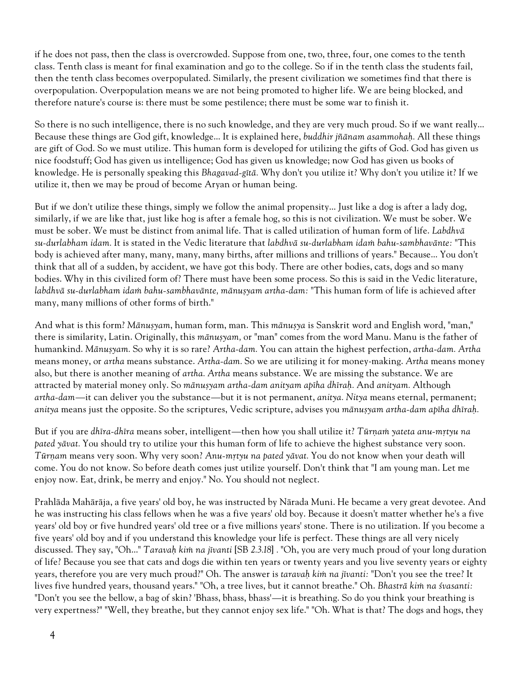if he does not pass, then the class is overcrowded. Suppose from one, two, three, four, one comes to the tenth class. Tenth class is meant for final examination and go to the college. So if in the tenth class the students fail, then the tenth class becomes overpopulated. Similarly, the present civilization we sometimes find that there is overpopulation. Overpopulation means we are not being promoted to higher life. We are being blocked, and therefore nature's course is: there must be some pestilence; there must be some war to finish it.

So there is no such intelligence, there is no such knowledge, and they are very much proud. So if we want really... Because these things are God gift, knowledge... It is explained here, buddhir jñānam asammohaḥ. All these things are gift of God. So we must utilize. This human form is developed for utilizing the gifts of God. God has given us nice foodstuff; God has given us intelligence; God has given us knowledge; now God has given us books of knowledge. He is personally speaking this Bhagavad-gītā. Why don't you utilize it? Why don't you utilize it? If we utilize it, then we may be proud of become Aryan or human being.

But if we don't utilize these things, simply we follow the animal propensity... Just like a dog is after a lady dog, similarly, if we are like that, just like hog is after a female hog, so this is not civilization. We must be sober. We must be sober. We must be distinct from animal life. That is called utilization of human form of life. Labdhvä su-durlabham idam. It is stated in the Vedic literature that labdhvā su-durlabham idam bahu-sambhavānte: "This body is achieved after many, many, many, many births, after millions and trillions of years." Because... You don't think that all of a sudden, by accident, we have got this body. There are other bodies, cats, dogs and so many bodies. Why in this civilized form of? There must have been some process. So this is said in the Vedic literature, labdhvā su-durlabham idam bahu-sambhavānte, mānuṣyam artha-dam: "This human form of life is achieved after many, many millions of other forms of birth."

And what is this form? Mānusyam, human form, man. This mānusya is Sanskrit word and English word, "man," there is similarity, Latin. Originally, this mānuṣyam, or "man" comes from the word Manu. Manu is the father of humankind. Mānuṣyam. So why it is so rare? Artha-dam. You can attain the highest perfection, artha-dam. Artha means money, or artha means substance. Artha-dam. So we are utilizing it for money-making. Artha means money also, but there is another meaning of artha. Artha means substance. We are missing the substance. We are attracted by material money only. So mānusyam artha-dam anityam apīha dhīrah. And anityam. Although artha-dam—it can deliver you the substance—but it is not permanent, anitya. Nitya means eternal, permanent; anitya means just the opposite. So the scriptures, Vedic scripture, advises you mānuṣyam artha-dam apīha dhīraḥ.

But if you are dhīra-dhīra means sober, intelligent—then how you shall utilize it? Tūrņam yateta anu-mŗtyu na pated yävat. You should try to utilize your this human form of life to achieve the highest substance very soon. Türnam means very soon. Why very soon? Anu-mrtyu na pated yävat. You do not know when your death will come. You do not know. So before death comes just utilize yourself. Don't think that "I am young man. Let me enjoy now. Eat, drink, be merry and enjoy." No. You should not neglect.

Prahläda Mahäräja, a five years' old boy, he was instructed by Närada Muni. He became a very great devotee. And he was instructing his class fellows when he was a five years' old boy. Because it doesn't matter whether he's a five years' old boy or five hundred years' old tree or a five millions years' stone. There is no utilization. If you become a five years' old boy and if you understand this knowledge your life is perfect. These things are all very nicely discussed. They say, "Oh..." Taravah kim na jivanti [SB 2.3.18] . "Oh, you are very much proud of your long duration of life? Because you see that cats and dogs die within ten years or twenty years and you live seventy years or eighty years, therefore you are very much proud?" Oh. The answer is taravah kim na jīvanti: "Don't you see the tree? It lives five hundred years, thousand years." "Oh, a tree lives, but it cannot breathe." Oh. Bhastrā kim na śvasanti: "Don't you see the bellow, a bag of skin? 'Bhass, bhass, bhass'—it is breathing. So do you think your breathing is very expertness?" "Well, they breathe, but they cannot enjoy sex life." "Oh. What is that? The dogs and hogs, they